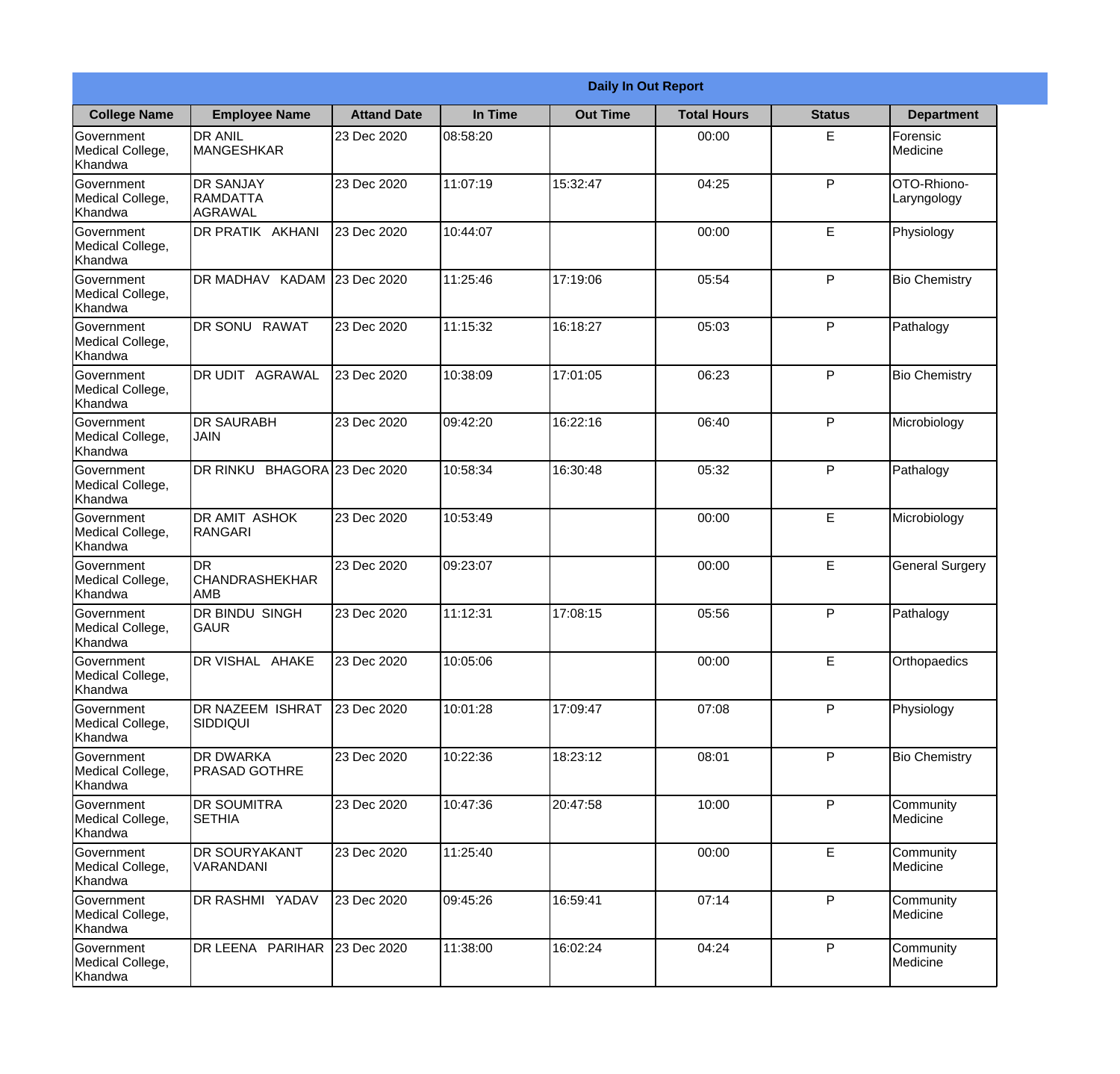|                                                  | <b>Daily In Out Report</b>                       |                    |          |                 |                    |               |                             |  |  |
|--------------------------------------------------|--------------------------------------------------|--------------------|----------|-----------------|--------------------|---------------|-----------------------------|--|--|
| <b>College Name</b>                              | <b>Employee Name</b>                             | <b>Attand Date</b> | In Time  | <b>Out Time</b> | <b>Total Hours</b> | <b>Status</b> | <b>Department</b>           |  |  |
| Government<br>Medical College,<br>Khandwa        | <b>DR ANIL</b><br><b>MANGESHKAR</b>              | 23 Dec 2020        | 08:58:20 |                 | 00:00              | E.            | Forensic<br><b>Medicine</b> |  |  |
| Government<br>Medical College,<br>Khandwa        | <b>DR SANJAY</b><br><b>RAMDATTA</b><br>AGRAWAL   | 23 Dec 2020        | 11:07:19 | 15:32:47        | 04:25              | P             | OTO-Rhiono-<br>Laryngology  |  |  |
| <b>Government</b><br>Medical College,<br>Khandwa | <b>IDR PRATIK AKHANI</b>                         | 23 Dec 2020        | 10:44:07 |                 | 00:00              | E             | Physiology                  |  |  |
| Government<br>Medical College,<br>Khandwa        | DR MADHAV KADAM 23 Dec 2020                      |                    | 11:25:46 | 17:19:06        | 05:54              | P             | <b>Bio Chemistry</b>        |  |  |
| Government<br>Medical College,<br>Khandwa        | <b>DR SONU RAWAT</b>                             | 23 Dec 2020        | 11:15:32 | 16:18:27        | 05:03              | P             | Pathalogy                   |  |  |
| Government<br>Medical College,<br>Khandwa        | <b>DR UDIT AGRAWAL</b>                           | 23 Dec 2020        | 10:38:09 | 17:01:05        | 06:23              | P             | <b>Bio Chemistry</b>        |  |  |
| Government<br>Medical College,<br>Khandwa        | <b>DR SAURABH</b><br><b>JAIN</b>                 | 23 Dec 2020        | 09:42:20 | 16:22:16        | 06:40              | P             | Microbiology                |  |  |
| Government<br>Medical College,<br>Khandwa        | DR RINKU BHAGORA 23 Dec 2020                     |                    | 10:58:34 | 16:30:48        | 05:32              | P             | Pathalogy                   |  |  |
| Government<br>Medical College,<br>Khandwa        | <b>DR AMIT ASHOK</b><br>RANGARI                  | 23 Dec 2020        | 10:53:49 |                 | 00:00              | E             | Microbiology                |  |  |
| Government<br>Medical College,<br>Khandwa        | <b>DR</b><br><b>CHANDRASHEKHAR</b><br><b>AMB</b> | 23 Dec 2020        | 09:23:07 |                 | 00:00              | E             | <b>General Surgery</b>      |  |  |
| Government<br>Medical College,<br>Khandwa        | <b>IDR BINDU SINGH</b><br> GAUR                  | 23 Dec 2020        | 11:12:31 | 17:08:15        | 05:56              | $\mathsf{P}$  | Pathalogy                   |  |  |
| Government<br>Medical College,<br>Khandwa        | DR VISHAL AHAKE                                  | 23 Dec 2020        | 10:05:06 |                 | 00:00              | E             | Orthopaedics                |  |  |
| Government<br>Medical College,<br>Khandwa        | <b>DR NAZEEM ISHRAT</b><br>SIDDIQUI              | 23 Dec 2020        | 10:01:28 | 17:09:47        | 07:08              | P             | Physiology                  |  |  |
| Government<br>Medical College,<br>Khandwa        | <b>DR DWARKA</b><br><b>PRASAD GOTHRE</b>         | 23 Dec 2020        | 10:22:36 | 18:23:12        | 08:01              | P             | <b>Bio Chemistry</b>        |  |  |
| Government<br>Medical College,<br>Khandwa        | <b>DR SOUMITRA</b><br><b>SETHIA</b>              | 23 Dec 2020        | 10:47:36 | 20:47:58        | 10:00              | $\mathsf{P}$  | Community<br>Medicine       |  |  |
| Government<br>Medical College,<br>Khandwa        | <b>DR SOURYAKANT</b><br>VARANDANI                | 23 Dec 2020        | 11:25:40 |                 | 00:00              | E             | Community<br>Medicine       |  |  |
| Government<br>Medical College,<br>Khandwa        | DR RASHMI YADAV                                  | 23 Dec 2020        | 09:45:26 | 16:59:41        | 07:14              | P             | Community<br>Medicine       |  |  |
| Government<br>Medical College,<br>Khandwa        | DR LEENA PARIHAR                                 | 23 Dec 2020        | 11:38:00 | 16:02:24        | 04:24              | P             | Community<br>Medicine       |  |  |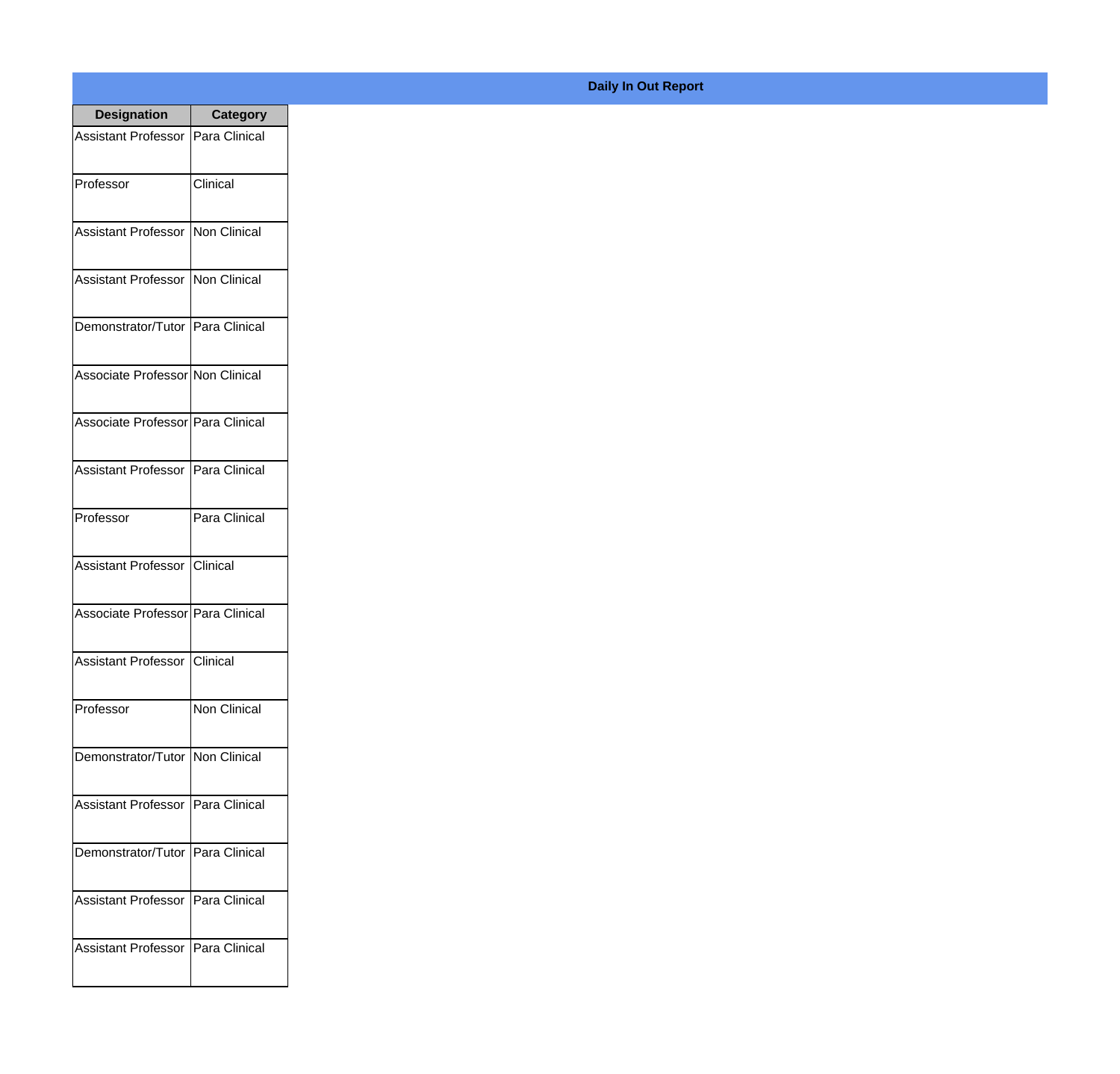| <b>Designation</b>                  | <b>Category</b>     |
|-------------------------------------|---------------------|
| Assistant Professor   Para Clinical |                     |
| Professor                           | Clinical            |
| Assistant Professor   Non Clinical  |                     |
| Assistant Professor   Non Clinical  |                     |
| Demonstrator/Tutor   Para Clinical  |                     |
| Associate Professor Non Clinical    |                     |
| Associate Professor Para Clinical   |                     |
| Assistant Professor   Para Clinical |                     |
| Professor                           | Para Clinical       |
| Assistant Professor   Clinical      |                     |
| Associate Professor Para Clinical   |                     |
| Assistant Professor Clinical        |                     |
| Professor                           | <b>Non Clinical</b> |
| Demonstrator/Tutor   Non Clinical   |                     |
| Assistant Professor                 | Para Clinical       |
| Demonstrator/Tutor                  | Para Clinical       |
| <b>Assistant Professor</b>          | Para Clinical       |
| <b>Assistant Professor</b>          | Para Clinical       |

## **Daily In Out Report**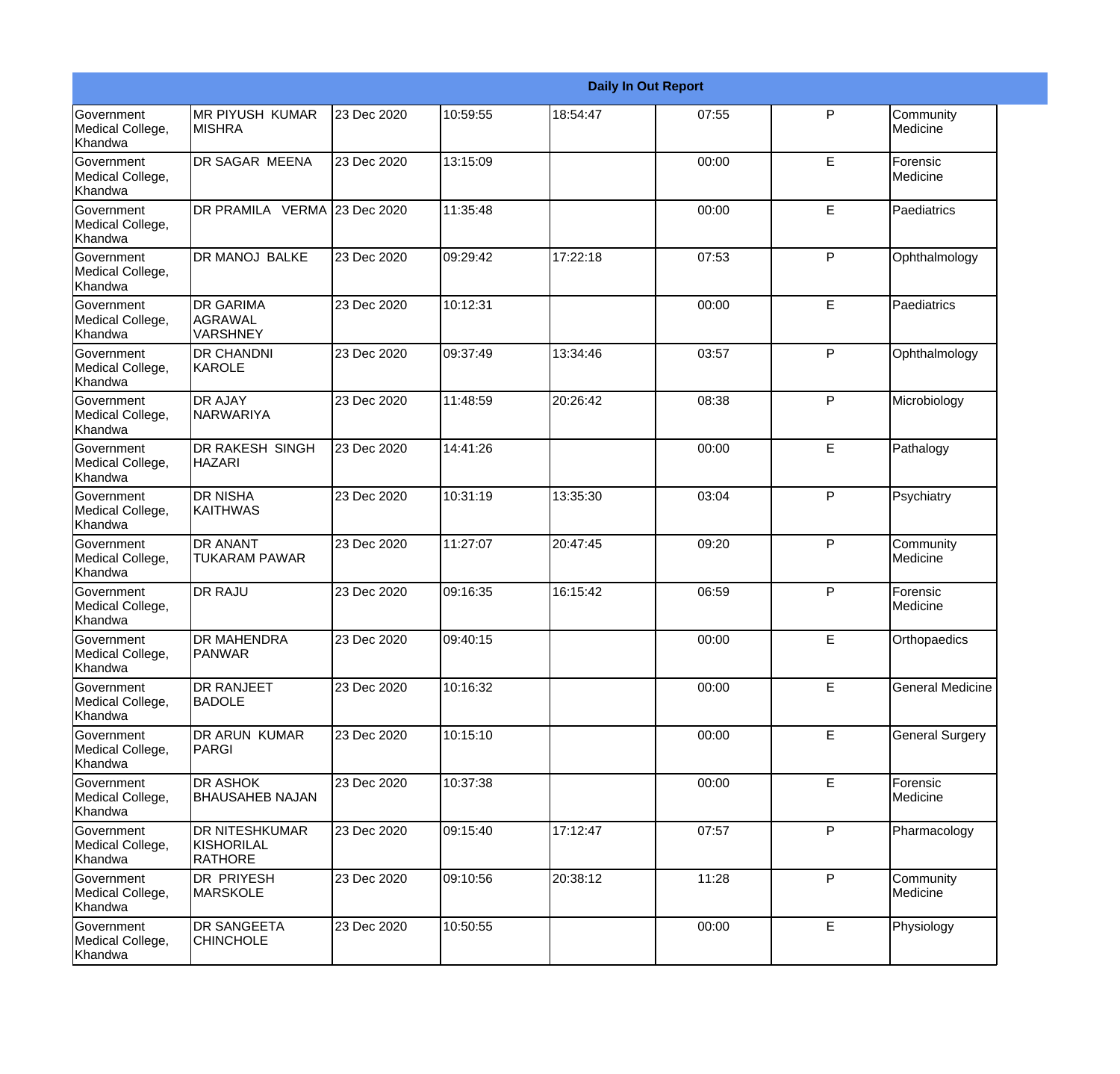|                                                         |                                                       | <b>Daily In Out Report</b> |          |          |       |              |                         |  |  |
|---------------------------------------------------------|-------------------------------------------------------|----------------------------|----------|----------|-------|--------------|-------------------------|--|--|
| Government<br>Medical College,<br>Khandwa               | <b>MR PIYUSH KUMAR</b><br><b>MISHRA</b>               | 23 Dec 2020                | 10:59:55 | 18:54:47 | 07:55 | P            | Community<br>Medicine   |  |  |
| Government<br>Medical College,<br>Khandwa               | DR SAGAR MEENA                                        | 23 Dec 2020                | 13:15:09 |          | 00:00 | E            | Forensic<br>Medicine    |  |  |
| <b>Government</b><br>Medical College,<br>Khandwa        | DR PRAMILA VERMA 23 Dec 2020                          |                            | 11:35:48 |          | 00:00 | E            | Paediatrics             |  |  |
| <b>Government</b><br>Medical College,<br>Khandwa        | <b>DR MANOJ BALKE</b>                                 | 23 Dec 2020                | 09:29:42 | 17:22:18 | 07:53 | P            | Ophthalmology           |  |  |
| Government<br>Medical College,<br>Khandwa               | <b>DR GARIMA</b><br><b>AGRAWAL</b><br><b>VARSHNEY</b> | 23 Dec 2020                | 10:12:31 |          | 00:00 | E            | Paediatrics             |  |  |
| Government<br>Medical College,<br>Khandwa               | <b>DR CHANDNI</b><br>KAROLE                           | 23 Dec 2020                | 09:37:49 | 13:34:46 | 03:57 | P            | Ophthalmology           |  |  |
| Government<br>Medical College,<br>Khandwa               | <b>DR AJAY</b><br>NARWARIYA                           | 23 Dec 2020                | 11:48:59 | 20:26:42 | 08:38 | P            | Microbiology            |  |  |
| Government<br>Medical College,<br>Khandwa               | DR RAKESH SINGH<br><b>HAZARI</b>                      | 23 Dec 2020                | 14:41:26 |          | 00:00 | E            | Pathalogy               |  |  |
| Government<br>Medical College,<br>Khandwa               | <b>DR NISHA</b><br>KAITHWAS                           | 23 Dec 2020                | 10:31:19 | 13:35:30 | 03:04 | $\mathsf{P}$ | Psychiatry              |  |  |
| <b>Government</b><br>Medical College,<br>Khandwa        | <b>DR ANANT</b><br><b>TUKARAM PAWAR</b>               | 23 Dec 2020                | 11:27:07 | 20:47:45 | 09:20 | P            | Community<br>Medicine   |  |  |
| <b>Government</b><br>Medical College,<br><b>Khandwa</b> | <b>DR RAJU</b>                                        | 23 Dec 2020                | 09:16:35 | 16:15:42 | 06:59 | P            | Forensic<br>Medicine    |  |  |
| Government<br>Medical College,<br>Khandwa               | <b>DR MAHENDRA</b><br><b>PANWAR</b>                   | 23 Dec 2020                | 09:40:15 |          | 00:00 | E            | Orthopaedics            |  |  |
| Government<br>Medical College,<br>Khandwa               | <b>DR RANJEET</b><br><b>BADOLE</b>                    | 23 Dec 2020                | 10:16:32 |          | 00:00 | E            | <b>General Medicine</b> |  |  |
| <b>Government</b><br>Medical College,<br>Khandwa        | DR ARUN KUMAR<br>PARGI                                | 23 Dec 2020                | 10:15:10 |          | 00:00 | E            | <b>General Surgery</b>  |  |  |
| Government<br>Medical College,<br>Khandwa               | <b>DR ASHOK</b><br><b>BHAUSAHEB NAJAN</b>             | 23 Dec 2020                | 10:37:38 |          | 00:00 | E            | Forensic<br>Medicine    |  |  |
| Government<br>Medical College,<br>Khandwa               | <b>DR NITESHKUMAR</b><br>KISHORILAL<br><b>RATHORE</b> | 23 Dec 2020                | 09:15:40 | 17:12:47 | 07:57 | P            | Pharmacology            |  |  |
| Government<br>Medical College,<br>Khandwa               | DR PRIYESH<br><b>MARSKOLE</b>                         | 23 Dec 2020                | 09:10:56 | 20:38:12 | 11:28 | $\mathsf{P}$ | Community<br>Medicine   |  |  |
| Government<br>Medical College,<br>Khandwa               | <b>DR SANGEETA</b><br><b>CHINCHOLE</b>                | 23 Dec 2020                | 10:50:55 |          | 00:00 | $\mathsf E$  | Physiology              |  |  |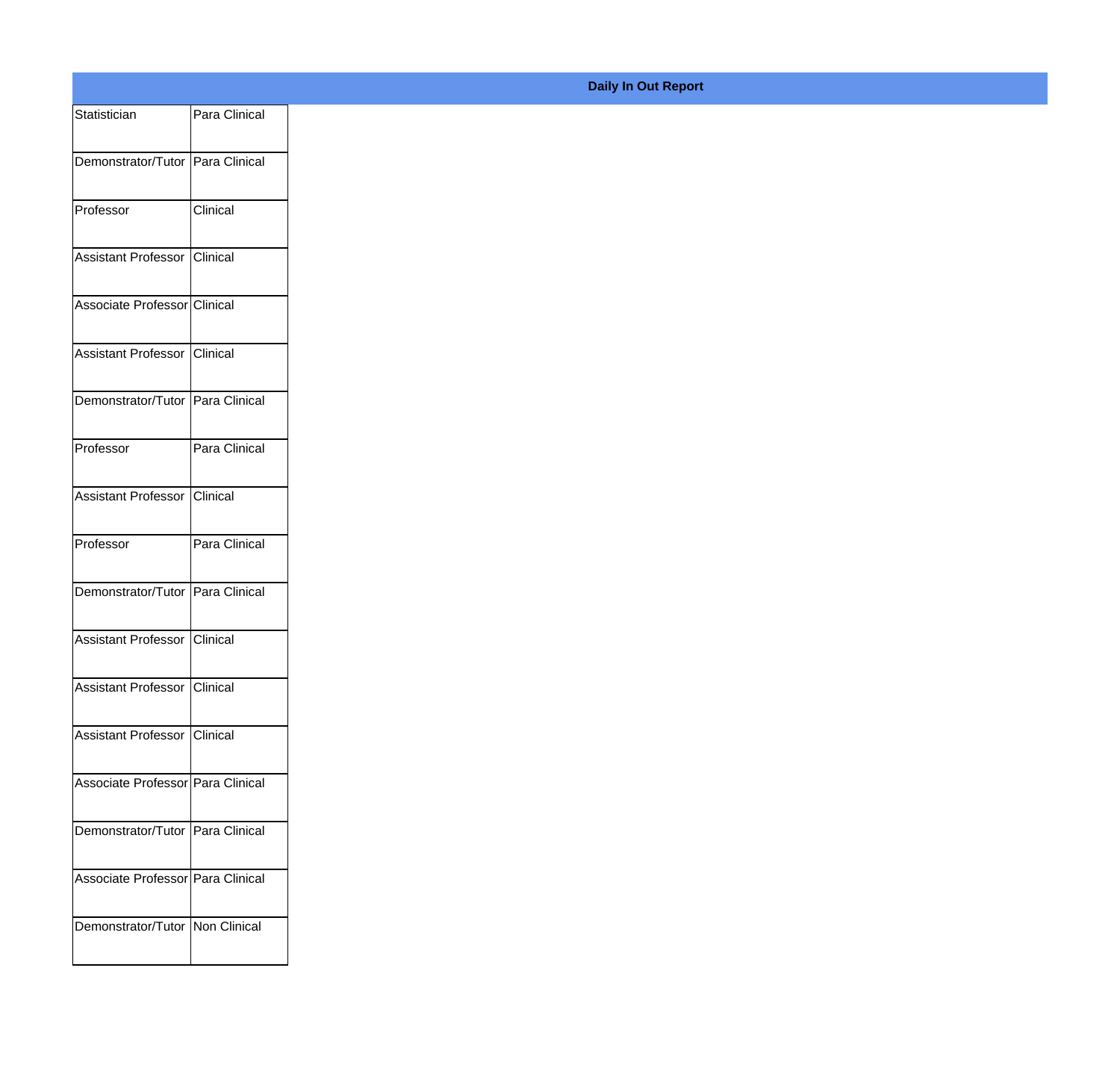| Statistician                      | Para Clinical |
|-----------------------------------|---------------|
| Demonstrator/Tutor Para Clinical  |               |
| Professor                         | Clinical      |
| Assistant Professor               | Clinical      |
| Associate Professor Clinical      |               |
| Assistant Professor Clinical      |               |
| Demonstrator/Tutor Para Clinical  |               |
| Professor                         | Para Clinical |
| Assistant Professor               | Clinical      |
| Professor                         | Para Clinical |
| Demonstrator/Tutor Para Clinical  |               |
| Assistant Professor Clinical      |               |
| Assistant Professor Clinical      |               |
| Assistant Professor Clinical      |               |
| Associate Professor Para Clinical |               |
| Demonstrator/Tutor Para Clinical  |               |
| Associate Professor Para Clinical |               |
| Demonstrator/Tutor Non Clinical   |               |
|                                   |               |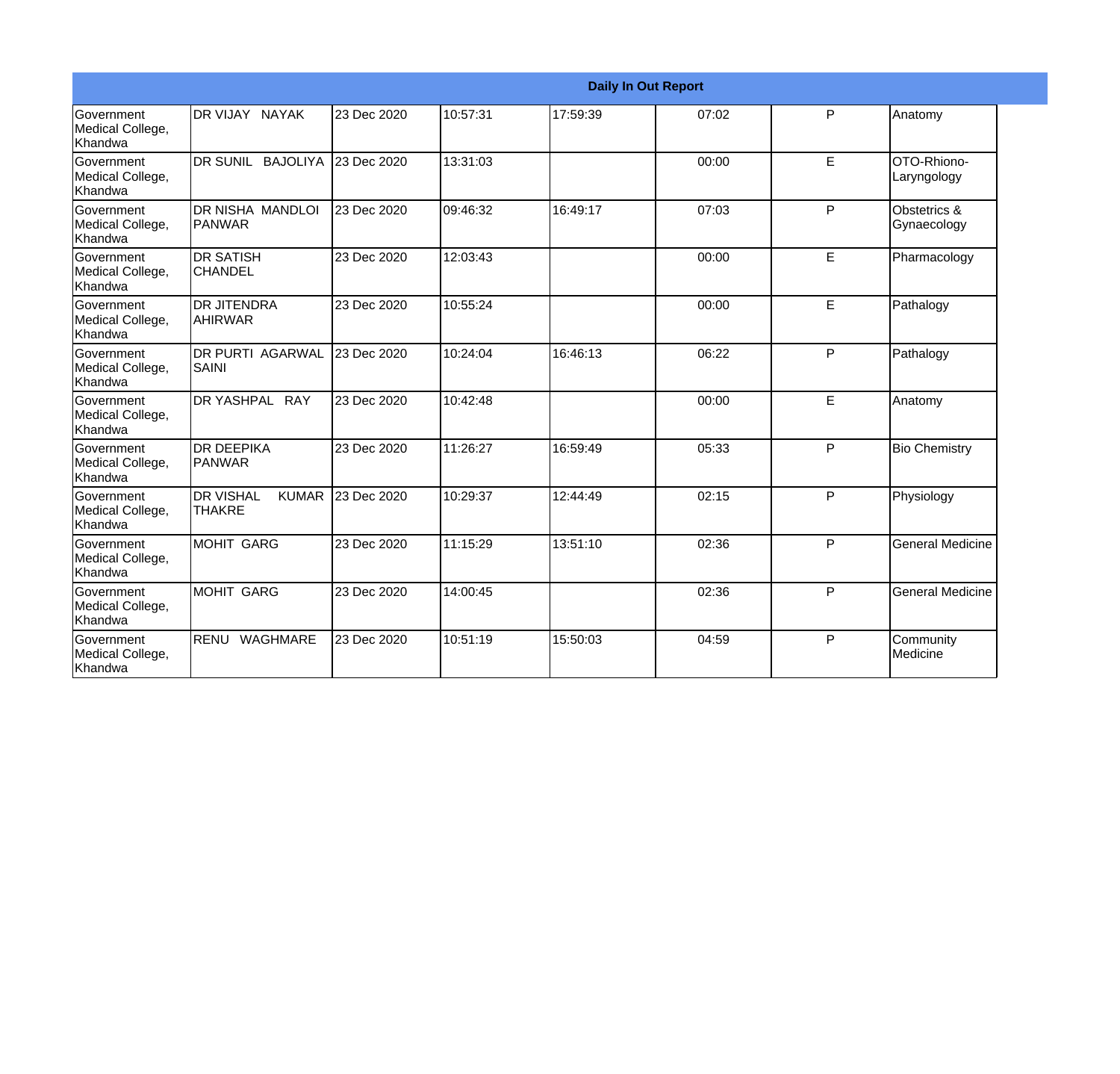|                                                         | <b>Daily In Out Report</b>                        |             |          |          |       |   |                             |  |  |
|---------------------------------------------------------|---------------------------------------------------|-------------|----------|----------|-------|---|-----------------------------|--|--|
| Government<br>Medical College,<br>Khandwa               | DR VIJAY NAYAK                                    | 23 Dec 2020 | 10:57:31 | 17:59:39 | 07:02 | P | Anatomy                     |  |  |
| <b>Government</b><br>Medical College,<br>Khandwa        | DR SUNIL BAJOLIYA                                 | 23 Dec 2020 | 13:31:03 |          | 00:00 | E | OTO-Rhiono-<br>Laryngology  |  |  |
| Government<br>Medical College,<br>Khandwa               | DR NISHA MANDLOI<br><b>PANWAR</b>                 | 23 Dec 2020 | 09:46:32 | 16:49:17 | 07:03 | P | Obstetrics &<br>Gynaecology |  |  |
| <b>Government</b><br>Medical College,<br>Khandwa        | <b>DR SATISH</b><br><b>CHANDEL</b>                | 23 Dec 2020 | 12:03:43 |          | 00:00 | E | Pharmacology                |  |  |
| <b>Government</b><br>Medical College,<br><b>Khandwa</b> | <b>DR JITENDRA</b><br><b>AHIRWAR</b>              | 23 Dec 2020 | 10:55:24 |          | 00:00 | E | Pathalogy                   |  |  |
| <b>Government</b><br>Medical College,<br>Khandwa        | <b>DR PURTI AGARWAL</b><br>SAINI                  | 23 Dec 2020 | 10:24:04 | 16:46:13 | 06:22 | P | Pathalogy                   |  |  |
| <b>Government</b><br>Medical College,<br><b>Khandwa</b> | DR YASHPAL RAY                                    | 23 Dec 2020 | 10:42:48 |          | 00:00 | E | Anatomy                     |  |  |
| <b>Government</b><br>Medical College,<br>Khandwa        | IDR DEEPIKA<br>PANWAR                             | 23 Dec 2020 | 11:26:27 | 16:59:49 | 05:33 | P | <b>Bio Chemistry</b>        |  |  |
| Government<br>Medical College,<br>Khandwa               | <b>DR VISHAL</b><br><b>KUMAR</b><br><b>THAKRE</b> | 23 Dec 2020 | 10:29:37 | 12:44:49 | 02:15 | P | Physiology                  |  |  |
| Government<br>Medical College,<br>Khandwa               | <b>MOHIT GARG</b>                                 | 23 Dec 2020 | 11:15:29 | 13:51:10 | 02:36 | P | <b>General Medicine</b>     |  |  |
| Government<br>Medical College,<br>Khandwa               | MOHIT GARG                                        | 23 Dec 2020 | 14:00:45 |          | 02:36 | P | <b>General Medicine</b>     |  |  |
| Government<br>Medical College,<br>Khandwa               | WAGHMARE<br>RENU                                  | 23 Dec 2020 | 10:51:19 | 15:50:03 | 04:59 | P | Community<br>Medicine       |  |  |